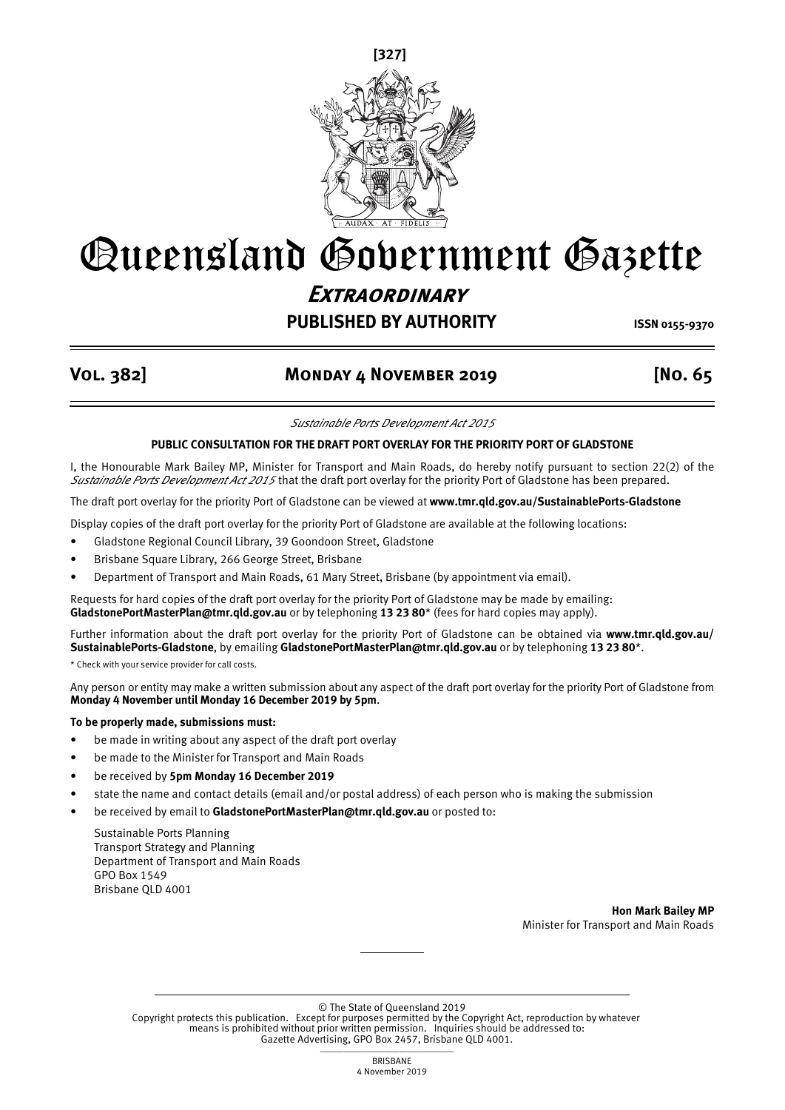

# Queensland Government Gazette **Extraordinary**

## **PUBLISHED BY AUTHORITY ISSN 0155-9370**

### **Vol. 382] Monday 4 November 2019 [No. 65**

*Sustainable Ports Development Act 2015*

#### **PUBLIC CONSULTATION FOR THE DRAFT PORT OVERLAY FOR THE PRIORITY PORT OF GLADSTONE**

I, the Honourable Mark Bailey MP, Minister for Transport and Main Roads, do hereby notify pursuant to section 22(2) of the *Sustainable Ports Development Act 2015* that the draft port overlay for the priority Port of Gladstone has been prepared.

The draft port overlay for the priority Port of Gladstone can be viewed at **www.tmr.qld.gov.au/SustainablePorts-Gladstone**

Display copies of the draft port overlay for the priority Port of Gladstone are available at the following locations:

- Gladstone Regional Council Library, 39 Goondoon Street, Gladstone
- Brisbane Square Library, 266 George Street, Brisbane
- Department of Transport and Main Roads, 61 Mary Street, Brisbane (by appointment via email).

Requests for hard copies of the draft port overlay for the priority Port of Gladstone may be made by emailing: **GladstonePortMasterPlan@tmr.qld.gov.au** or by telephoning **13 23 80**\* (fees for hard copies may apply).

Further information about the draft port overlay for the priority Port of Gladstone can be obtained via **www.tmr.qld.gov.au/ SustainablePorts-Gladstone**, by emailing **GladstonePortMasterPlan@tmr.qld.gov.au** or by telephoning **13 23 80**\*.

\* Check with your service provider for call costs.

Any person or entity may make a written submission about any aspect of the draft port overlay for the priority Port of Gladstone from **Monday 4 November until Monday 16 December 2019 by 5pm**.

#### **To be properly made, submissions must:**

- be made in writing about any aspect of the draft port overlay
- be made to the Minister for Transport and Main Roads
- be received by **5pm Monday 16 December 2019**
- state the name and contact details (email and/or postal address) of each person who is making the submission
- be received by email to **GladstonePortMasterPlan@tmr.qld.gov.au** or posted to:

Sustainable Ports Planning Transport Strategy and Planning Department of Transport and Main Roads GPO Box 1549 Brisbane QLD 4001

> **Hon Mark Bailey MP** Minister for Transport and Main Roads

© The State of Queensland 2019

Copyright protects this publication. Except for purposes permitted by the Copyright Act, reproduction by whatever means is prohibited without prior written permission. Inquiries should be addressed to: Gazette Advertising, GPO Box 2457, Brisbane QLD 4001.